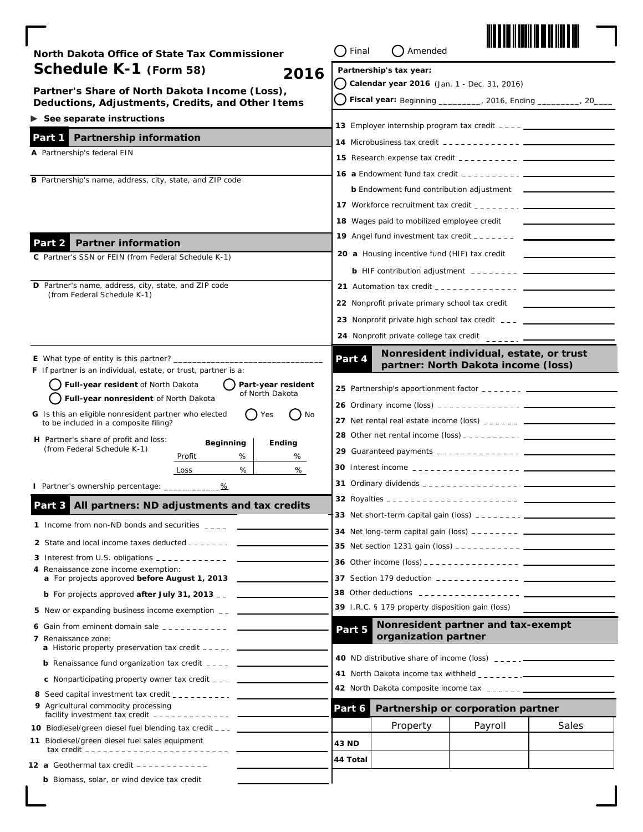| North Dakota Office of State Tax Commissioner                                                               | Final                                          | Amended                                          |                                                                                                                                                                                                                                                                                                                    |       |
|-------------------------------------------------------------------------------------------------------------|------------------------------------------------|--------------------------------------------------|--------------------------------------------------------------------------------------------------------------------------------------------------------------------------------------------------------------------------------------------------------------------------------------------------------------------|-------|
| Schedule K-1 (Form 58)<br>2016                                                                              |                                                | Partnership's tax year:                          |                                                                                                                                                                                                                                                                                                                    |       |
| Partner's Share of North Dakota Income (Loss),                                                              |                                                | Calendar year 2016 (Jan. 1 - Dec. 31, 2016)      |                                                                                                                                                                                                                                                                                                                    |       |
| Deductions, Adjustments, Credits, and Other Items                                                           |                                                |                                                  | Fiscal year: Beginning _________, 2016, Ending _______, 20___                                                                                                                                                                                                                                                      |       |
| $\triangleright$ See separate instructions                                                                  |                                                |                                                  |                                                                                                                                                                                                                                                                                                                    |       |
| Partnership information<br>Part 1                                                                           |                                                |                                                  |                                                                                                                                                                                                                                                                                                                    |       |
| A Partnership's federal EIN                                                                                 |                                                |                                                  |                                                                                                                                                                                                                                                                                                                    |       |
|                                                                                                             |                                                |                                                  |                                                                                                                                                                                                                                                                                                                    |       |
| B Partnership's name, address, city, state, and ZIP code                                                    |                                                |                                                  | <b>b</b> Endowment fund contribution adjustment _______                                                                                                                                                                                                                                                            |       |
|                                                                                                             |                                                |                                                  | 17 Workforce recruitment tax credit $\frac{1}{2}$ $\frac{1}{2}$ $\frac{1}{2}$ $\frac{1}{2}$ $\frac{1}{2}$ $\frac{1}{2}$ $\frac{1}{2}$ $\frac{1}{2}$ $\frac{1}{2}$ $\frac{1}{2}$ $\frac{1}{2}$ $\frac{1}{2}$ $\frac{1}{2}$ $\frac{1}{2}$ $\frac{1}{2}$ $\frac{1}{2}$ $\frac{1}{2}$ $\frac{1}{2}$ $\frac{1$          |       |
|                                                                                                             |                                                | 18 Wages paid to mobilized employee credit       |                                                                                                                                                                                                                                                                                                                    |       |
|                                                                                                             |                                                |                                                  | <b>19</b> Angel fund investment tax credit $\frac{1}{2}$ = $\frac{1}{2}$ = $\frac{1}{2}$ = $\frac{1}{2}$                                                                                                                                                                                                           |       |
| <b>Partner information</b><br>Part 2<br>C Partner's SSN or FEIN (from Federal Schedule K-1)                 |                                                | 20 a Housing incentive fund (HIF) tax credit     |                                                                                                                                                                                                                                                                                                                    |       |
|                                                                                                             |                                                |                                                  | <b>b</b> HIF contribution adjustment $--- - - - - - - -$                                                                                                                                                                                                                                                           |       |
| D Partner's name, address, city, state, and ZIP code                                                        |                                                |                                                  |                                                                                                                                                                                                                                                                                                                    |       |
| (from Federal Schedule K-1)                                                                                 | 22 Nonprofit private primary school tax credit |                                                  |                                                                                                                                                                                                                                                                                                                    |       |
|                                                                                                             |                                                |                                                  | <b>23</b> Nonprofit private high school tax credit $\overline{\phantom{a}}$ $\overline{\phantom{a}}$                                                                                                                                                                                                               |       |
|                                                                                                             |                                                |                                                  | 24 Nonprofit private college tax credit ________                                                                                                                                                                                                                                                                   |       |
|                                                                                                             |                                                |                                                  |                                                                                                                                                                                                                                                                                                                    |       |
| <b>E</b> What type of entity is this partner? $\frac{1}{1}$                                                 | Part 4                                         |                                                  | Nonresident individual, estate, or trust<br>partner: North Dakota income (loss)                                                                                                                                                                                                                                    |       |
| <b>F</b> If partner is an individual, estate, or trust, partner is a:<br>Full-year resident of North Dakota |                                                |                                                  |                                                                                                                                                                                                                                                                                                                    |       |
| Part-year resident<br>of North Dakota<br>Full-year nonresident of North Dakota                              |                                                |                                                  |                                                                                                                                                                                                                                                                                                                    |       |
| G Is this an eligible nonresident partner who elected<br>No<br>Yes                                          |                                                |                                                  |                                                                                                                                                                                                                                                                                                                    |       |
| to be included in a composite filing?                                                                       |                                                |                                                  | <b>27</b> Net rental real estate income (loss) $\frac{1}{2}$ $\frac{1}{2}$ $\frac{1}{2}$ $\frac{1}{2}$ $\frac{1}{2}$ $\frac{1}{2}$                                                                                                                                                                                 |       |
| H Partner's share of profit and loss:<br><b>Beginning</b><br>Ending<br>(from Federal Schedule K-1)          |                                                |                                                  |                                                                                                                                                                                                                                                                                                                    |       |
| %<br>Profit<br>%                                                                                            |                                                |                                                  |                                                                                                                                                                                                                                                                                                                    |       |
| %<br>%<br>Loss                                                                                              |                                                |                                                  |                                                                                                                                                                                                                                                                                                                    |       |
| l Partner's ownership percentage: _________<br><u>%</u>                                                     |                                                |                                                  |                                                                                                                                                                                                                                                                                                                    |       |
| All partners: ND adjustments and tax credits<br>Part 3                                                      |                                                |                                                  |                                                                                                                                                                                                                                                                                                                    |       |
| 1 Income from non-ND bonds and securities ____                                                              |                                                |                                                  |                                                                                                                                                                                                                                                                                                                    |       |
|                                                                                                             |                                                |                                                  |                                                                                                                                                                                                                                                                                                                    |       |
|                                                                                                             |                                                |                                                  |                                                                                                                                                                                                                                                                                                                    |       |
| 4 Renaissance zone income exemption:                                                                        |                                                |                                                  |                                                                                                                                                                                                                                                                                                                    |       |
| a For projects approved before August 1, 2013                                                               |                                                |                                                  | <b>37</b> Section 179 deduction $\frac{1}{2}$ $\frac{1}{2}$ $\frac{1}{2}$ $\frac{1}{2}$ $\frac{1}{2}$ $\frac{1}{2}$ $\frac{1}{2}$ $\frac{1}{2}$ $\frac{1}{2}$ $\frac{1}{2}$ $\frac{1}{2}$ $\frac{1}{2}$ $\frac{1}{2}$ $\frac{1}{2}$ $\frac{1}{2}$ $\frac{1}{2}$ $\frac{1}{2}$ $\frac{1}{2}$ $\frac{1}{2}$ $\frac{$ |       |
| <b>b</b> For projects approved <b>after July 31, 2013</b> __ $\frac{1}{2}$                                  |                                                | 39 I.R.C. § 179 property disposition gain (loss) |                                                                                                                                                                                                                                                                                                                    |       |
| 5 New or expanding business income exemption __ _____                                                       |                                                |                                                  |                                                                                                                                                                                                                                                                                                                    |       |
| 6 Gain from eminent domain sale $2 - 2 - 2 - 2 - 2 - 1$<br>7 Renaissance zone:                              | Part 5                                         | organization partner                             | Nonresident partner and tax-exempt                                                                                                                                                                                                                                                                                 |       |
| <b>a</b> Historic property preservation tax credit $---$                                                    |                                                |                                                  |                                                                                                                                                                                                                                                                                                                    |       |
| <b>b</b> Renaissance fund organization tax credit $\frac{1}{2}$                                             |                                                |                                                  |                                                                                                                                                                                                                                                                                                                    |       |
| <b>c</b> Nonparticipating property owner tax credit $\frac{1}{2}$                                           |                                                |                                                  | 41 North Dakota income tax withheld $2 - 2 - 2 - 3$                                                                                                                                                                                                                                                                |       |
| 8 Seed capital investment tax credit $\frac{1}{2}$                                                          |                                                |                                                  |                                                                                                                                                                                                                                                                                                                    |       |
| 9 Agricultural commodity processing<br>facility investment tax credit $------------$                        | Part 6                                         |                                                  | Partnership or corporation partner                                                                                                                                                                                                                                                                                 |       |
| 10 Biodiesel/green diesel fuel blending tax credit _ _ _ _ _ _ _ _                                          |                                                | Property                                         | Payroll                                                                                                                                                                                                                                                                                                            | Sales |
| 11 Biodiesel/green diesel fuel sales equipment<br>tax credit $- - - - - - - - - - - - - - - - - -$          | <b>43 ND</b>                                   |                                                  |                                                                                                                                                                                                                                                                                                                    |       |
| 12 a Geothermal tax credit ------------                                                                     | 44 Total                                       |                                                  |                                                                                                                                                                                                                                                                                                                    |       |
| <b>b</b> Biomass, solar, or wind device tax credit                                                          |                                                |                                                  |                                                                                                                                                                                                                                                                                                                    |       |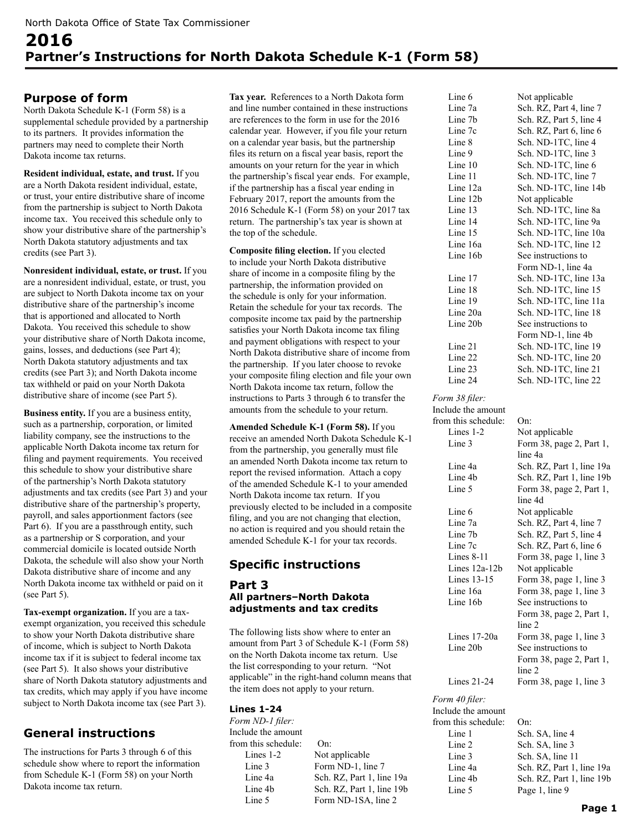## **Purpose of form**

North Dakota Schedule K-1 (Form 58) is a supplemental schedule provided by a partnership to its partners. It provides information the partners may need to complete their North Dakota income tax returns.

**Resident individual, estate, and trust.** If you are a North Dakota resident individual, estate, or trust, your entire distributive share of income from the partnership is subject to North Dakota income tax. You received this schedule only to show your distributive share of the partnership's North Dakota statutory adjustments and tax credits (see Part 3).

**Nonresident individual, estate, or trust.** If you are a nonresident individual, estate, or trust, you are subject to North Dakota income tax on your distributive share of the partnership's income that is apportioned and allocated to North Dakota. You received this schedule to show your distributive share of North Dakota income, gains, losses, and deductions (see Part 4); North Dakota statutory adjustments and tax credits (see Part 3); and North Dakota income tax withheld or paid on your North Dakota distributive share of income (see Part 5).

**Business entity.** If you are a business entity, such as a partnership, corporation, or limited liability company, see the instructions to the applicable North Dakota income tax return for filing and payment requirements. You received this schedule to show your distributive share of the partnership's North Dakota statutory adjustments and tax credits (see Part 3) and your distributive share of the partnership's property, payroll, and sales apportionment factors (see Part 6). If you are a passthrough entity, such as a partnership or S corporation, and your commercial domicile is located outside North Dakota, the schedule will also show your North Dakota distributive share of income and any North Dakota income tax withheld or paid on it (see Part 5).

**Tax-exempt organization.** If you are a taxexempt organization, you received this schedule to show your North Dakota distributive share of income, which is subject to North Dakota income tax if it is subject to federal income tax (see Part 5). It also shows your distributive share of North Dakota statutory adjustments and tax credits, which may apply if you have income subject to North Dakota income tax (see Part 3).

# **General instructions**

The instructions for Parts 3 through 6 of this schedule show where to report the information from Schedule K-1 (Form 58) on your North Dakota income tax return.

**Tax year.** References to a North Dakota form and line number contained in these instructions are references to the form in use for the 2016 calendar year. However, if you file your return on a calendar year basis, but the partnership files its return on a fiscal year basis, report the amounts on your return for the year in which the partnership's fiscal year ends. For example, if the partnership has a fiscal year ending in February 2017, report the amounts from the 2016 Schedule K-1 (Form 58) on your 2017 tax return. The partnership's tax year is shown at the top of the schedule.

**Composite filing election.** If you elected to include your North Dakota distributive share of income in a composite filing by the partnership, the information provided on the schedule is only for your information. Retain the schedule for your tax records. The composite income tax paid by the partnership satisfies your North Dakota income tax filing and payment obligations with respect to your North Dakota distributive share of income from the partnership. If you later choose to revoke your composite filing election and file your own North Dakota income tax return, follow the instructions to Parts 3 through 6 to transfer the amounts from the schedule to your return.

**Amended Schedule K-1 (Form 58).** If you receive an amended North Dakota Schedule K-1 from the partnership, you generally must file an amended North Dakota income tax return to report the revised information. Attach a copy of the amended Schedule K-1 to your amended North Dakota income tax return. If you previously elected to be included in a composite filing, and you are not changing that election, no action is required and you should retain the amended Schedule K-1 for your tax records.

## **Specific instructions**

## **Part 3 All partners–North Dakota adjustments and tax credits**

The following lists show where to enter an amount from Part 3 of Schedule K-1 (Form 58) on the North Dakota income tax return. Use the list corresponding to your return. "Not applicable" in the right-hand column means that the item does not apply to your return.

## **Lines 1-24**

*Form ND-1 filer:* Include the amount from this schedule: On: Lines 1-2 Not applicable Line 3 Form ND-1, line 7 Line 4a Sch. RZ, Part 1, line 19a Line 4b Sch. RZ, Part 1, line 19b Line 5 Form ND-1SA, line 2

| Line 6              | Not applicable                                     |
|---------------------|----------------------------------------------------|
| Line 7a             | Sch. RZ, Part 4, line 7                            |
| Line 7b             | Sch. RZ, Part 5, line 4                            |
| Line 7c             | Sch. RZ, Part 6, line 6                            |
| Line 8              | Sch. ND-1TC, line 4                                |
| Line 9              | Sch. ND-1TC, line 3                                |
| Line 10             | Sch. ND-1TC, line 6                                |
| Line 11             | Sch. ND-1TC, line 7                                |
| Line 12a            | Sch. ND-1TC, line 14b                              |
| Line 12b            | Not applicable                                     |
| Line 13             |                                                    |
| Line 14             | Sch. ND-1TC, line 8a<br>Sch. ND-1TC, line 9a       |
| Line 15             | Sch. ND-1TC, line 10a                              |
| Line 16a            | Sch. ND-1TC, line 12                               |
| Line 16b            | See instructions to                                |
|                     | Form ND-1, line 4a                                 |
| Line 17             | Sch. ND-1TC, line 13a                              |
| Line 18             | Sch. ND-1TC, line 15                               |
| Line 19             | Sch. ND-1TC, line 11a                              |
| Line 20a            | Sch. ND-1TC, line 18                               |
| Line 20b            | See instructions to                                |
|                     | Form ND-1, line 4b                                 |
| Line 21             | Sch. ND-1TC, line 19                               |
| Line 22             | Sch. ND-1TC, line 20                               |
| Line 23             | Sch. ND-1TC, line 21                               |
| Line 24             | Sch. ND-1TC, line 22                               |
| Form 38 filer:      |                                                    |
| Include the amount  |                                                    |
| from this schedule: | On:                                                |
| Lines $1-2$         | Not applicable                                     |
| Line 3              | Form 38, page 2, Part 1,                           |
|                     | line 4a                                            |
| Line 4a             | Sch. RZ, Part 1, line 19a                          |
| Line 4b             | Sch. RZ, Part 1, line 19b                          |
| Line 5              | Form 38, page 2, Part 1,                           |
|                     | line 4d                                            |
| Line 6              | Not applicable                                     |
| Line 7a             | Sch. RZ, Part 4, line 7                            |
| Line 7b             | Sch. RZ, Part 5, line 4                            |
| Line 7c             | Sch. RZ, Part 6, line 6                            |
| Lines 8-11          | Form 38, page 1, line 3                            |
| Lines 12a-12b       | Not applicable                                     |
| Lines 13-15         |                                                    |
| Line 16a            | Form 38, page 1, line 3<br>Form 38, page 1, line 3 |
| Line 16b            | See instructions to                                |
|                     |                                                    |
|                     | Form 38, page 2, Part 1,<br>line 2                 |
| Lines $17-20a$      | Form 38, page 1, line 3                            |
| Line 20b            | See instructions to                                |
|                     | Form 38, page 2, Part 1,                           |
|                     | line 2                                             |
| Lines 21-24         | Form 38, page 1, line 3                            |
| Form 40 filer:      |                                                    |

*Form 4* Include the amount from this schedule: On: Line 1 Sch. SA, line 4 Line 2 Sch. SA, line 3 Line 3 Sch. SA, line 11 Line 5 Page 1, line 9

Line 4a Sch. RZ, Part 1, line 19a Line 4b Sch. RZ, Part 1, line 19b